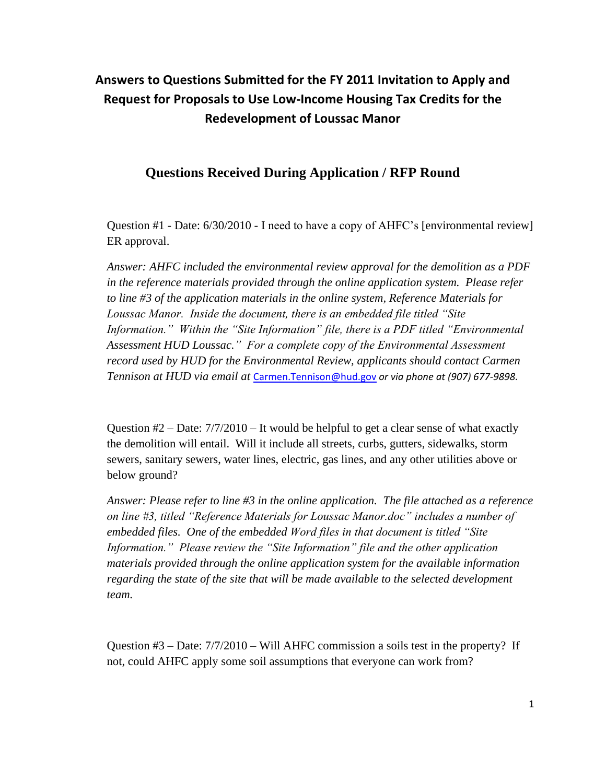## **Answers to Questions Submitted for the FY 2011 Invitation to Apply and Request for Proposals to Use Low-Income Housing Tax Credits for the Redevelopment of Loussac Manor**

## **Questions Received During Application / RFP Round**

Question #1 - Date: 6/30/2010 - I need to have a copy of AHFC's [environmental review] ER approval.

*Answer: AHFC included the environmental review approval for the demolition as a PDF in the reference materials provided through the online application system. Please refer to line #3 of the application materials in the online system, Reference Materials for Loussac Manor. Inside the document, there is an embedded file titled "Site Information." Within the "Site Information" file, there is a PDF titled "Environmental Assessment HUD Loussac." For a complete copy of the Environmental Assessment record used by HUD for the Environmental Review, applicants should contact Carmen Tennison at HUD via email at* [Carmen.Tennison@hud.gov](mailto:Carmen.Tennison@hud.gov) *or via phone at (907) 677-9898.*

Question  $#2 - Date: 7/7/2010 - It$  would be helpful to get a clear sense of what exactly the demolition will entail. Will it include all streets, curbs, gutters, sidewalks, storm sewers, sanitary sewers, water lines, electric, gas lines, and any other utilities above or below ground?

*Answer: Please refer to line #3 in the online application. The file attached as a reference on line #3, titled "Reference Materials for Loussac Manor.doc" includes a number of embedded files. One of the embedded Word files in that document is titled "Site Information." Please review the "Site Information" file and the other application materials provided through the online application system for the available information regarding the state of the site that will be made available to the selected development team.* 

Question  $#3 -$ Date:  $7/7/2010 -$ Will AHFC commission a soils test in the property? If not, could AHFC apply some soil assumptions that everyone can work from?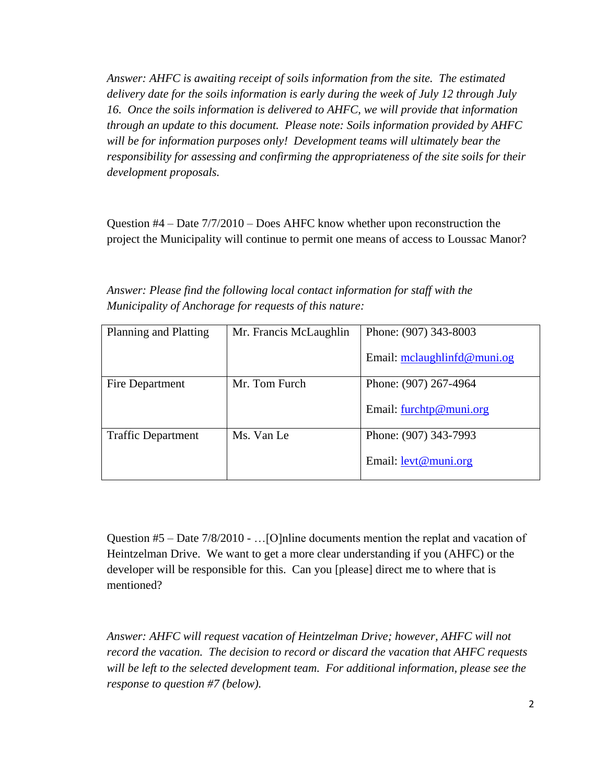*Answer: AHFC is awaiting receipt of soils information from the site. The estimated delivery date for the soils information is early during the week of July 12 through July 16. Once the soils information is delivered to AHFC, we will provide that information through an update to this document. Please note: Soils information provided by AHFC*  will be for information purposes only! Development teams will ultimately bear the *responsibility for assessing and confirming the appropriateness of the site soils for their development proposals.*

Question #4 – Date 7/7/2010 – Does AHFC know whether upon reconstruction the project the Municipality will continue to permit one means of access to Loussac Manor?

*Answer: Please find the following local contact information for staff with the Municipality of Anchorage for requests of this nature:*

| Planning and Platting     | Mr. Francis McLaughlin | Phone: (907) 343-8003         |  |
|---------------------------|------------------------|-------------------------------|--|
|                           |                        |                               |  |
|                           |                        |                               |  |
|                           |                        | Email: $mclaughlinfd@muni.og$ |  |
|                           |                        |                               |  |
| Fire Department           | Mr. Tom Furch          | Phone: (907) 267-4964         |  |
|                           |                        |                               |  |
|                           |                        |                               |  |
|                           |                        | Email: $furchtp@muni.org$     |  |
|                           |                        |                               |  |
| <b>Traffic Department</b> | Ms. Van Le             | Phone: (907) 343-7993         |  |
|                           |                        |                               |  |
|                           |                        |                               |  |
|                           |                        | Email: levt@muni.org          |  |
|                           |                        |                               |  |
|                           |                        |                               |  |

Question #5 – Date 7/8/2010 - …[O]nline documents mention the replat and vacation of Heintzelman Drive. We want to get a more clear understanding if you (AHFC) or the developer will be responsible for this. Can you [please] direct me to where that is mentioned?

*Answer: AHFC will request vacation of Heintzelman Drive; however, AHFC will not record the vacation. The decision to record or discard the vacation that AHFC requests will be left to the selected development team. For additional information, please see the response to question #7 (below).*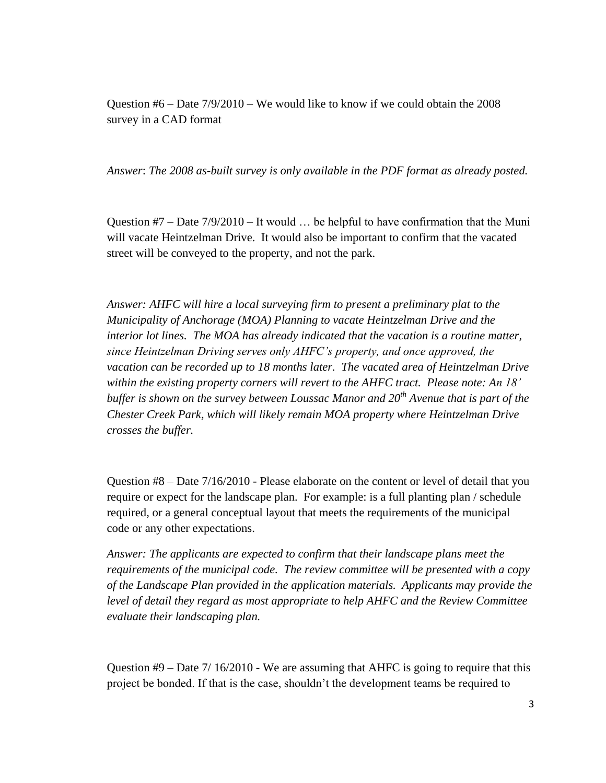Question  $#6 -$ Date  $7/9/2010 -$ We would like to know if we could obtain the 2008 survey in a CAD format

*Answer*: *The 2008 as-built survey is only available in the PDF format as already posted.*

Question  $#7 -$ Date  $7/9/2010 -$  It would ... be helpful to have confirmation that the Muni will vacate Heintzelman Drive. It would also be important to confirm that the vacated street will be conveyed to the property, and not the park.

*Answer: AHFC will hire a local surveying firm to present a preliminary plat to the Municipality of Anchorage (MOA) Planning to vacate Heintzelman Drive and the interior lot lines. The MOA has already indicated that the vacation is a routine matter, since Heintzelman Driving serves only AHFC"s property, and once approved, the vacation can be recorded up to 18 months later. The vacated area of Heintzelman Drive within the existing property corners will revert to the AHFC tract. Please note: An 18" buffer is shown on the survey between Loussac Manor and 20th Avenue that is part of the Chester Creek Park, which will likely remain MOA property where Heintzelman Drive crosses the buffer.*

Question #8 – Date 7/16/2010 - Please elaborate on the content or level of detail that you require or expect for the landscape plan. For example: is a full planting plan / schedule required, or a general conceptual layout that meets the requirements of the municipal code or any other expectations.

*Answer: The applicants are expected to confirm that their landscape plans meet the requirements of the municipal code. The review committee will be presented with a copy of the Landscape Plan provided in the application materials. Applicants may provide the level of detail they regard as most appropriate to help AHFC and the Review Committee evaluate their landscaping plan.* 

Question #9 – Date 7/ 16/2010 - We are assuming that AHFC is going to require that this project be bonded. If that is the case, shouldn't the development teams be required to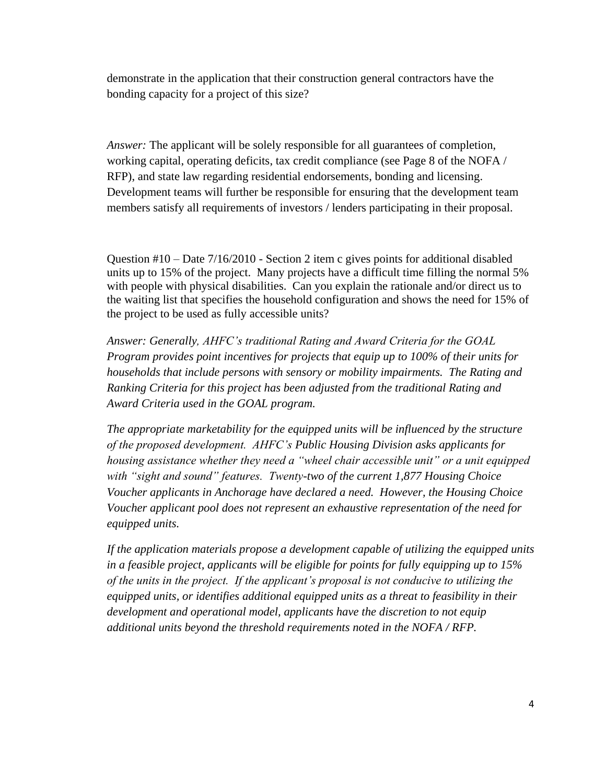demonstrate in the application that their construction general contractors have the bonding capacity for a project of this size?

*Answer:* The applicant will be solely responsible for all guarantees of completion, working capital, operating deficits, tax credit compliance (see Page 8 of the NOFA / RFP), and state law regarding residential endorsements, bonding and licensing. Development teams will further be responsible for ensuring that the development team members satisfy all requirements of investors / lenders participating in their proposal.

Question #10 – Date 7/16/2010 - Section 2 item c gives points for additional disabled units up to 15% of the project. Many projects have a difficult time filling the normal 5% with people with physical disabilities. Can you explain the rationale and/or direct us to the waiting list that specifies the household configuration and shows the need for 15% of the project to be used as fully accessible units?

*Answer: Generally, AHFC"s traditional Rating and Award Criteria for the GOAL Program provides point incentives for projects that equip up to 100% of their units for households that include persons with sensory or mobility impairments. The Rating and Ranking Criteria for this project has been adjusted from the traditional Rating and Award Criteria used in the GOAL program.* 

*The appropriate marketability for the equipped units will be influenced by the structure of the proposed development. AHFC"s Public Housing Division asks applicants for housing assistance whether they need a "wheel chair accessible unit" or a unit equipped with "sight and sound" features. Twenty-two of the current 1,877 Housing Choice Voucher applicants in Anchorage have declared a need. However, the Housing Choice Voucher applicant pool does not represent an exhaustive representation of the need for equipped units.* 

*If the application materials propose a development capable of utilizing the equipped units in a feasible project, applicants will be eligible for points for fully equipping up to 15% of the units in the project. If the applicant"s proposal is not conducive to utilizing the equipped units, or identifies additional equipped units as a threat to feasibility in their development and operational model, applicants have the discretion to not equip additional units beyond the threshold requirements noted in the NOFA / RFP.*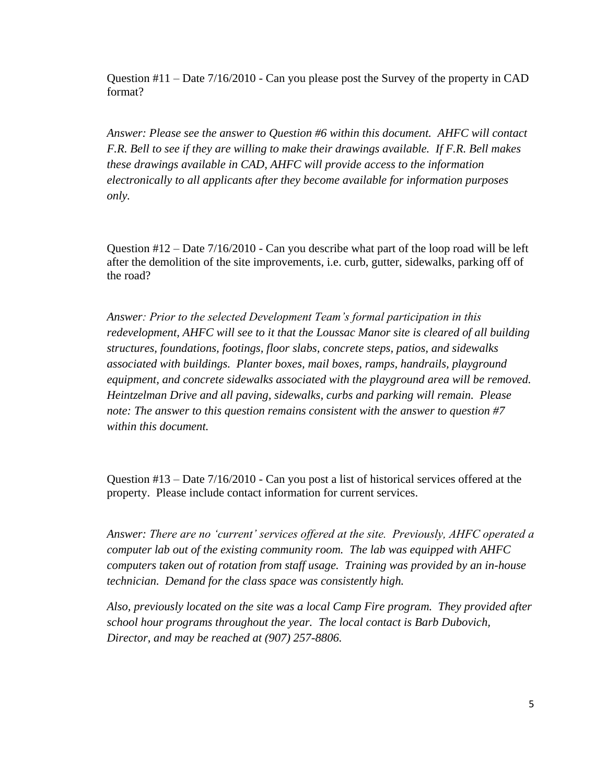Question #11 – Date 7/16/2010 - Can you please post the Survey of the property in CAD format?

*Answer: Please see the answer to Question #6 within this document. AHFC will contact F.R. Bell to see if they are willing to make their drawings available. If F.R. Bell makes these drawings available in CAD, AHFC will provide access to the information electronically to all applicants after they become available for information purposes only.*

Question  $\#12 -$  Date  $7/16/2010 -$  Can you describe what part of the loop road will be left after the demolition of the site improvements, i.e. curb, gutter, sidewalks, parking off of the road?

*Answer: Prior to the selected Development Team"s formal participation in this redevelopment, AHFC will see to it that the Loussac Manor site is cleared of all building structures, foundations, footings, floor slabs, concrete steps, patios, and sidewalks associated with buildings. Planter boxes, mail boxes, ramps, handrails, playground equipment, and concrete sidewalks associated with the playground area will be removed. Heintzelman Drive and all paving, sidewalks, curbs and parking will remain. Please note: The answer to this question remains consistent with the answer to question #7 within this document.*

Question #13 – Date 7/16/2010 - Can you post a list of historical services offered at the property. Please include contact information for current services.

*Answer: There are no "current" services offered at the site. Previously, AHFC operated a computer lab out of the existing community room. The lab was equipped with AHFC computers taken out of rotation from staff usage. Training was provided by an in-house technician. Demand for the class space was consistently high.*

*Also, previously located on the site was a local Camp Fire program. They provided after school hour programs throughout the year. The local contact is Barb Dubovich, Director, and may be reached at (907) 257-8806.*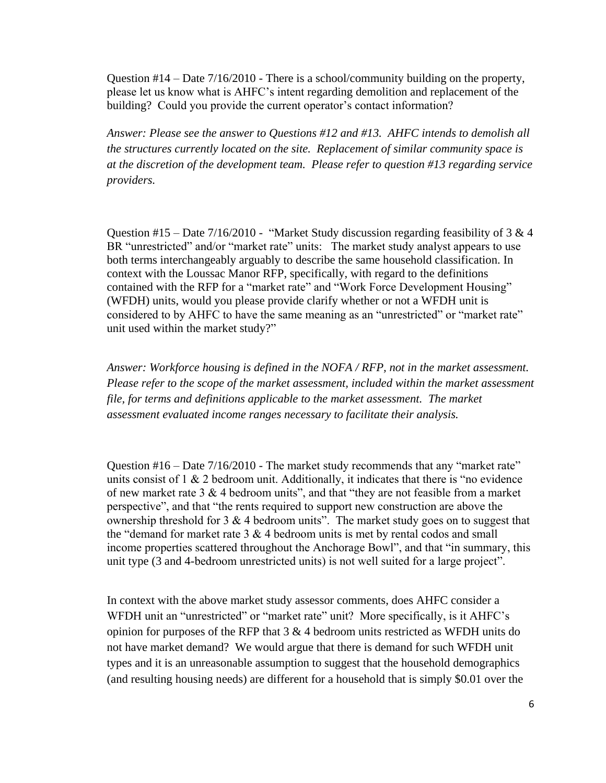Question #14 – Date 7/16/2010 - There is a school/community building on the property, please let us know what is AHFC's intent regarding demolition and replacement of the building? Could you provide the current operator's contact information?

*Answer: Please see the answer to Questions #12 and #13. AHFC intends to demolish all the structures currently located on the site. Replacement of similar community space is at the discretion of the development team. Please refer to question #13 regarding service providers.*

Question #15 – Date  $7/16/2010$  - "Market Study discussion regarding feasibility of 3 & 4 BR "unrestricted" and/or "market rate" units: The market study analyst appears to use both terms interchangeably arguably to describe the same household classification. In context with the Loussac Manor RFP, specifically, with regard to the definitions contained with the RFP for a "market rate" and "Work Force Development Housing" (WFDH) units, would you please provide clarify whether or not a WFDH unit is considered to by AHFC to have the same meaning as an "unrestricted" or "market rate" unit used within the market study?"

*Answer: Workforce housing is defined in the NOFA / RFP, not in the market assessment. Please refer to the scope of the market assessment, included within the market assessment file, for terms and definitions applicable to the market assessment. The market assessment evaluated income ranges necessary to facilitate their analysis.* 

Question #16 – Date 7/16/2010 - The market study recommends that any "market rate" units consist of  $1 \& 2$  bedroom unit. Additionally, it indicates that there is "no evidence" of new market rate  $3 \& 4$  bedroom units", and that "they are not feasible from a market perspective", and that "the rents required to support new construction are above the ownership threshold for  $3 \& 4$  bedroom units". The market study goes on to suggest that the "demand for market rate  $3 \& 4$  bedroom units is met by rental codos and small income properties scattered throughout the Anchorage Bowl", and that "in summary, this unit type (3 and 4-bedroom unrestricted units) is not well suited for a large project".

In context with the above market study assessor comments, does AHFC consider a WFDH unit an "unrestricted" or "market rate" unit? More specifically, is it AHFC's opinion for purposes of the RFP that  $3 \& 4$  bedroom units restricted as WFDH units do not have market demand? We would argue that there is demand for such WFDH unit types and it is an unreasonable assumption to suggest that the household demographics (and resulting housing needs) are different for a household that is simply \$0.01 over the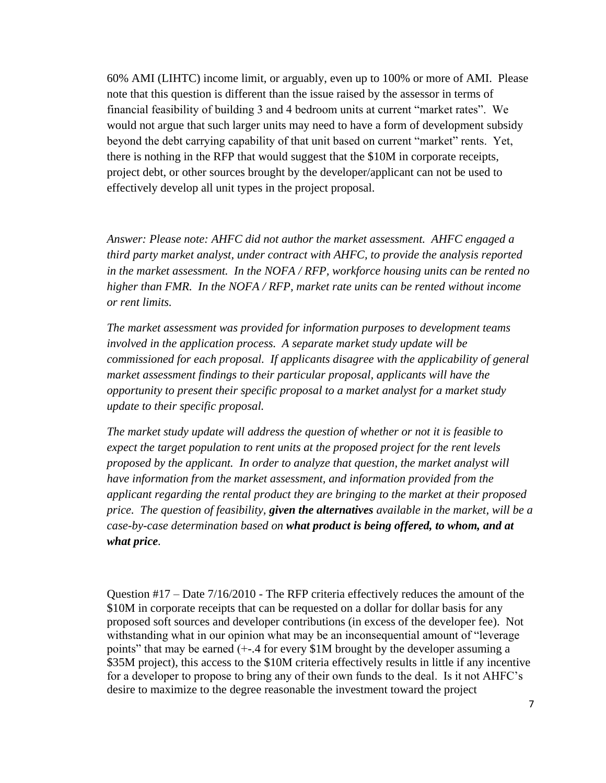60% AMI (LIHTC) income limit, or arguably, even up to 100% or more of AMI. Please note that this question is different than the issue raised by the assessor in terms of financial feasibility of building 3 and 4 bedroom units at current "market rates". We would not argue that such larger units may need to have a form of development subsidy beyond the debt carrying capability of that unit based on current "market" rents. Yet, there is nothing in the RFP that would suggest that the \$10M in corporate receipts, project debt, or other sources brought by the developer/applicant can not be used to effectively develop all unit types in the project proposal.

*Answer: Please note: AHFC did not author the market assessment. AHFC engaged a third party market analyst, under contract with AHFC, to provide the analysis reported in the market assessment. In the NOFA / RFP, workforce housing units can be rented no higher than FMR. In the NOFA / RFP, market rate units can be rented without income or rent limits.* 

*The market assessment was provided for information purposes to development teams involved in the application process. A separate market study update will be commissioned for each proposal. If applicants disagree with the applicability of general market assessment findings to their particular proposal, applicants will have the opportunity to present their specific proposal to a market analyst for a market study update to their specific proposal.* 

*The market study update will address the question of whether or not it is feasible to expect the target population to rent units at the proposed project for the rent levels proposed by the applicant. In order to analyze that question, the market analyst will have information from the market assessment, and information provided from the applicant regarding the rental product they are bringing to the market at their proposed price. The question of feasibility, given the alternatives available in the market, will be a case-by-case determination based on what product is being offered, to whom, and at what price.* 

Question #17 – Date 7/16/2010 - The RFP criteria effectively reduces the amount of the \$10M in corporate receipts that can be requested on a dollar for dollar basis for any proposed soft sources and developer contributions (in excess of the developer fee). Not withstanding what in our opinion what may be an inconsequential amount of "leverage" points" that may be earned (+-.4 for every \$1M brought by the developer assuming a \$35M project), this access to the \$10M criteria effectively results in little if any incentive for a developer to propose to bring any of their own funds to the deal. Is it not AHFC's desire to maximize to the degree reasonable the investment toward the project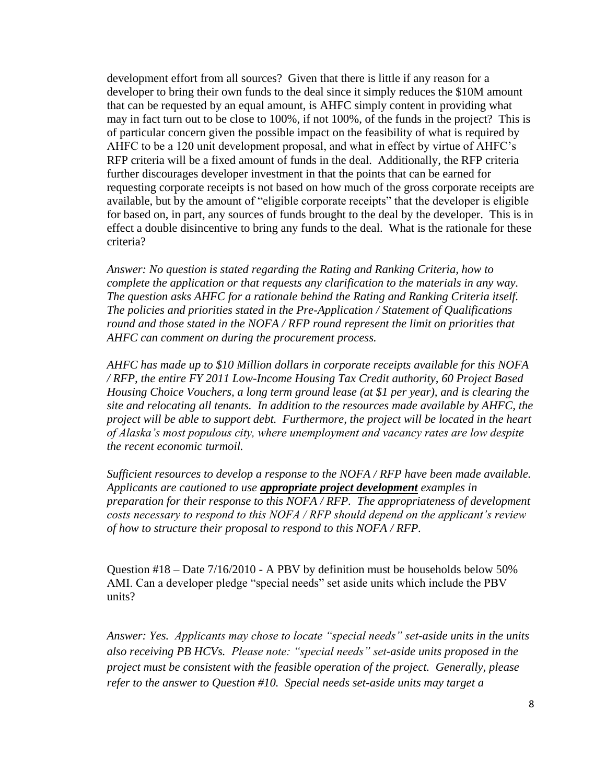development effort from all sources? Given that there is little if any reason for a developer to bring their own funds to the deal since it simply reduces the \$10M amount that can be requested by an equal amount, is AHFC simply content in providing what may in fact turn out to be close to 100%, if not 100%, of the funds in the project? This is of particular concern given the possible impact on the feasibility of what is required by AHFC to be a 120 unit development proposal, and what in effect by virtue of AHFC's RFP criteria will be a fixed amount of funds in the deal. Additionally, the RFP criteria further discourages developer investment in that the points that can be earned for requesting corporate receipts is not based on how much of the gross corporate receipts are available, but by the amount of "eligible corporate receipts" that the developer is eligible for based on, in part, any sources of funds brought to the deal by the developer. This is in effect a double disincentive to bring any funds to the deal. What is the rationale for these criteria?

*Answer: No question is stated regarding the Rating and Ranking Criteria, how to complete the application or that requests any clarification to the materials in any way. The question asks AHFC for a rationale behind the Rating and Ranking Criteria itself. The policies and priorities stated in the Pre-Application / Statement of Qualifications round and those stated in the NOFA / RFP round represent the limit on priorities that AHFC can comment on during the procurement process.* 

*AHFC has made up to \$10 Million dollars in corporate receipts available for this NOFA / RFP, the entire FY 2011 Low-Income Housing Tax Credit authority, 60 Project Based Housing Choice Vouchers, a long term ground lease (at \$1 per year), and is clearing the site and relocating all tenants. In addition to the resources made available by AHFC, the project will be able to support debt. Furthermore, the project will be located in the heart of Alaska"s most populous city, where unemployment and vacancy rates are low despite the recent economic turmoil.*

*Sufficient resources to develop a response to the NOFA / RFP have been made available. Applicants are cautioned to use appropriate project development examples in preparation for their response to this NOFA / RFP. The appropriateness of development costs necessary to respond to this NOFA / RFP should depend on the applicant"s review of how to structure their proposal to respond to this NOFA / RFP.* 

Question #18 – Date 7/16/2010 - A PBV by definition must be households below 50% AMI. Can a developer pledge "special needs" set aside units which include the PBV units?

*Answer: Yes. Applicants may chose to locate "special needs" set-aside units in the units also receiving PB HCVs. Please note: "special needs" set-aside units proposed in the project must be consistent with the feasible operation of the project. Generally, please refer to the answer to Question #10. Special needs set-aside units may target a*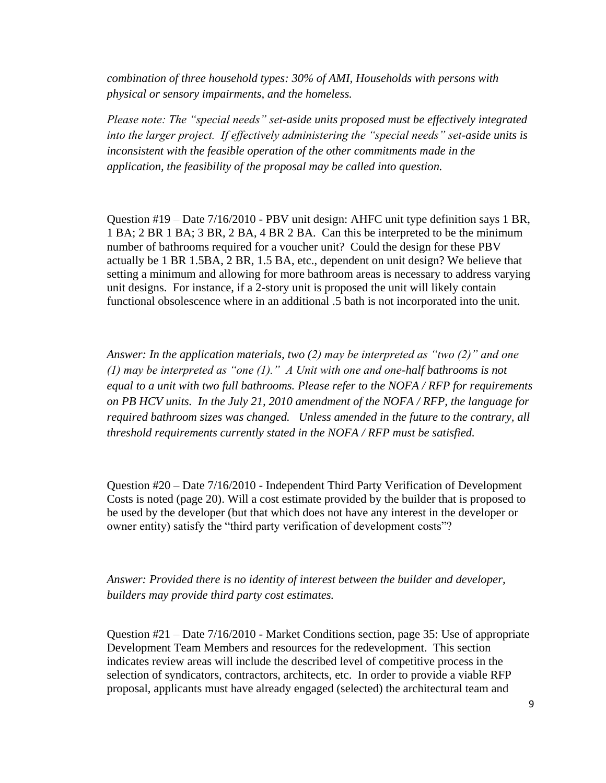*combination of three household types: 30% of AMI, Households with persons with physical or sensory impairments, and the homeless.*

*Please note: The "special needs" set-aside units proposed must be effectively integrated into the larger project. If effectively administering the "special needs" set-aside units is inconsistent with the feasible operation of the other commitments made in the application, the feasibility of the proposal may be called into question.* 

Question #19 – Date 7/16/2010 - PBV unit design: AHFC unit type definition says 1 BR, 1 BA; 2 BR 1 BA; 3 BR, 2 BA, 4 BR 2 BA. Can this be interpreted to be the minimum number of bathrooms required for a voucher unit? Could the design for these PBV actually be 1 BR 1.5BA, 2 BR, 1.5 BA, etc., dependent on unit design? We believe that setting a minimum and allowing for more bathroom areas is necessary to address varying unit designs. For instance, if a 2-story unit is proposed the unit will likely contain functional obsolescence where in an additional .5 bath is not incorporated into the unit.

*Answer: In the application materials, two (2) may be interpreted as "two (2)" and one (1) may be interpreted as "one (1)." A Unit with one and one-half bathrooms is not equal to a unit with two full bathrooms. Please refer to the NOFA / RFP for requirements on PB HCV units. In the July 21, 2010 amendment of the NOFA / RFP, the language for required bathroom sizes was changed. Unless amended in the future to the contrary, all threshold requirements currently stated in the NOFA / RFP must be satisfied.* 

Question #20 – Date 7/16/2010 - Independent Third Party Verification of Development Costs is noted (page 20). Will a cost estimate provided by the builder that is proposed to be used by the developer (but that which does not have any interest in the developer or owner entity) satisfy the "third party verification of development costs"?

*Answer: Provided there is no identity of interest between the builder and developer, builders may provide third party cost estimates.*

Question #21 – Date 7/16/2010 - Market Conditions section, page 35: Use of appropriate Development Team Members and resources for the redevelopment. This section indicates review areas will include the described level of competitive process in the selection of syndicators, contractors, architects, etc. In order to provide a viable RFP proposal, applicants must have already engaged (selected) the architectural team and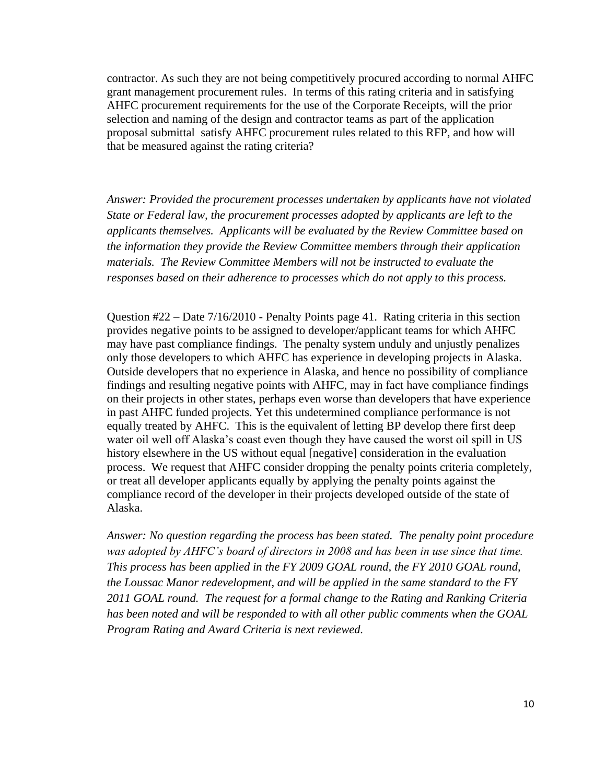contractor. As such they are not being competitively procured according to normal AHFC grant management procurement rules. In terms of this rating criteria and in satisfying AHFC procurement requirements for the use of the Corporate Receipts, will the prior selection and naming of the design and contractor teams as part of the application proposal submittal satisfy AHFC procurement rules related to this RFP, and how will that be measured against the rating criteria?

*Answer: Provided the procurement processes undertaken by applicants have not violated State or Federal law, the procurement processes adopted by applicants are left to the applicants themselves. Applicants will be evaluated by the Review Committee based on the information they provide the Review Committee members through their application materials. The Review Committee Members will not be instructed to evaluate the responses based on their adherence to processes which do not apply to this process.*

Question #22 – Date 7/16/2010 - Penalty Points page 41. Rating criteria in this section provides negative points to be assigned to developer/applicant teams for which AHFC may have past compliance findings. The penalty system unduly and unjustly penalizes only those developers to which AHFC has experience in developing projects in Alaska. Outside developers that no experience in Alaska, and hence no possibility of compliance findings and resulting negative points with AHFC, may in fact have compliance findings on their projects in other states, perhaps even worse than developers that have experience in past AHFC funded projects. Yet this undetermined compliance performance is not equally treated by AHFC. This is the equivalent of letting BP develop there first deep water oil well off Alaska's coast even though they have caused the worst oil spill in US history elsewhere in the US without equal [negative] consideration in the evaluation process. We request that AHFC consider dropping the penalty points criteria completely, or treat all developer applicants equally by applying the penalty points against the compliance record of the developer in their projects developed outside of the state of Alaska.

*Answer: No question regarding the process has been stated. The penalty point procedure was adopted by AHFC"s board of directors in 2008 and has been in use since that time. This process has been applied in the FY 2009 GOAL round, the FY 2010 GOAL round, the Loussac Manor redevelopment, and will be applied in the same standard to the FY 2011 GOAL round. The request for a formal change to the Rating and Ranking Criteria has been noted and will be responded to with all other public comments when the GOAL Program Rating and Award Criteria is next reviewed.*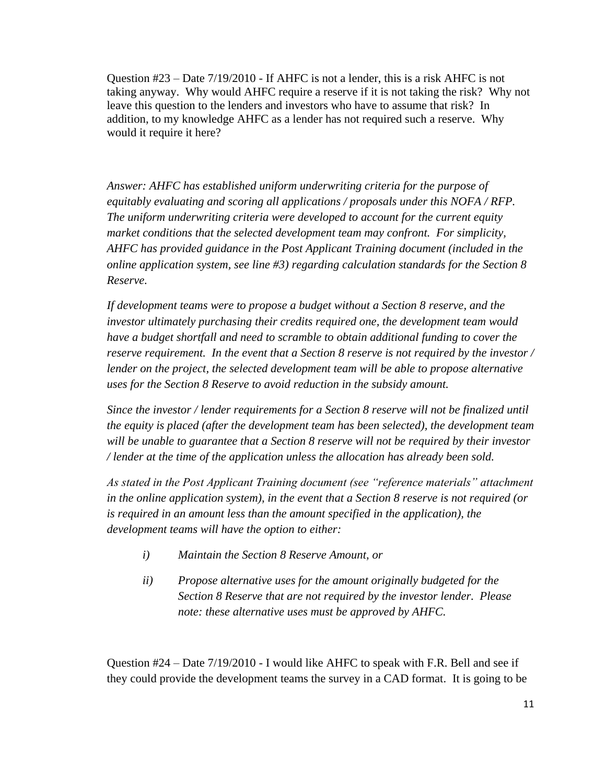Question #23 – Date 7/19/2010 - If AHFC is not a lender, this is a risk AHFC is not taking anyway. Why would AHFC require a reserve if it is not taking the risk? Why not leave this question to the lenders and investors who have to assume that risk? In addition, to my knowledge AHFC as a lender has not required such a reserve. Why would it require it here?

*Answer: AHFC has established uniform underwriting criteria for the purpose of equitably evaluating and scoring all applications / proposals under this NOFA / RFP. The uniform underwriting criteria were developed to account for the current equity market conditions that the selected development team may confront. For simplicity, AHFC has provided guidance in the Post Applicant Training document (included in the online application system, see line #3) regarding calculation standards for the Section 8 Reserve.* 

*If development teams were to propose a budget without a Section 8 reserve, and the investor ultimately purchasing their credits required one, the development team would have a budget shortfall and need to scramble to obtain additional funding to cover the reserve requirement. In the event that a Section 8 reserve is not required by the investor / lender on the project, the selected development team will be able to propose alternative uses for the Section 8 Reserve to avoid reduction in the subsidy amount.* 

*Since the investor / lender requirements for a Section 8 reserve will not be finalized until the equity is placed (after the development team has been selected), the development team will be unable to guarantee that a Section 8 reserve will not be required by their investor / lender at the time of the application unless the allocation has already been sold.* 

*As stated in the Post Applicant Training document (see "reference materials" attachment in the online application system), in the event that a Section 8 reserve is not required (or is required in an amount less than the amount specified in the application), the development teams will have the option to either:*

- *i) Maintain the Section 8 Reserve Amount, or*
- *ii) Propose alternative uses for the amount originally budgeted for the Section 8 Reserve that are not required by the investor lender. Please note: these alternative uses must be approved by AHFC.*

Question #24 – Date 7/19/2010 - I would like AHFC to speak with F.R. Bell and see if they could provide the development teams the survey in a CAD format. It is going to be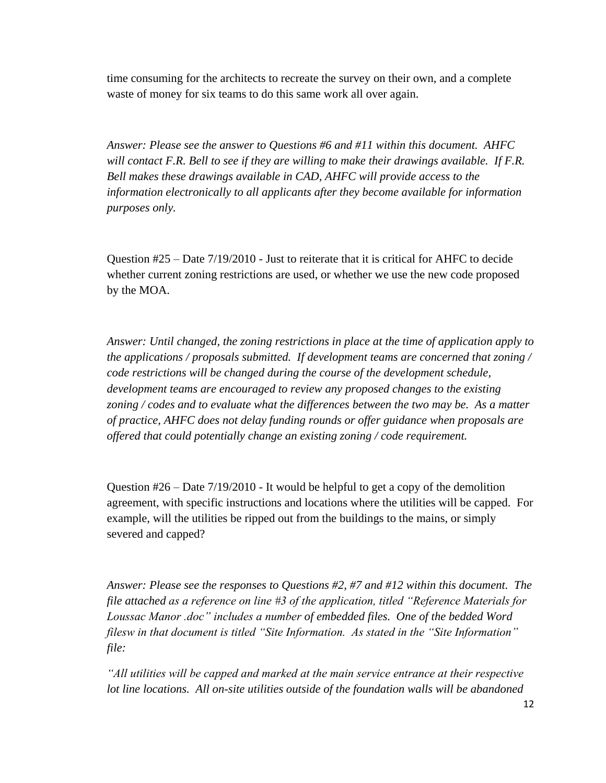time consuming for the architects to recreate the survey on their own, and a complete waste of money for six teams to do this same work all over again.

*Answer: Please see the answer to Questions #6 and #11 within this document. AHFC will contact F.R. Bell to see if they are willing to make their drawings available. If F.R. Bell makes these drawings available in CAD, AHFC will provide access to the information electronically to all applicants after they become available for information purposes only.*

Question #25 – Date 7/19/2010 - Just to reiterate that it is critical for AHFC to decide whether current zoning restrictions are used, or whether we use the new code proposed by the MOA.

*Answer: Until changed, the zoning restrictions in place at the time of application apply to the applications / proposals submitted. If development teams are concerned that zoning / code restrictions will be changed during the course of the development schedule, development teams are encouraged to review any proposed changes to the existing zoning / codes and to evaluate what the differences between the two may be. As a matter of practice, AHFC does not delay funding rounds or offer guidance when proposals are offered that could potentially change an existing zoning / code requirement.* 

Question #26 – Date 7/19/2010 - It would be helpful to get a copy of the demolition agreement, with specific instructions and locations where the utilities will be capped. For example, will the utilities be ripped out from the buildings to the mains, or simply severed and capped?

*Answer: Please see the responses to Questions #2, #7 and #12 within this document. The file attached as a reference on line #3 of the application, titled "Reference Materials for Loussac Manor .doc" includes a number of embedded files. One of the bedded Word filesw in that document is titled "Site Information. As stated in the "Site Information" file:*

*"All utilities will be capped and marked at the main service entrance at their respective lot line locations. All on-site utilities outside of the foundation walls will be abandoned*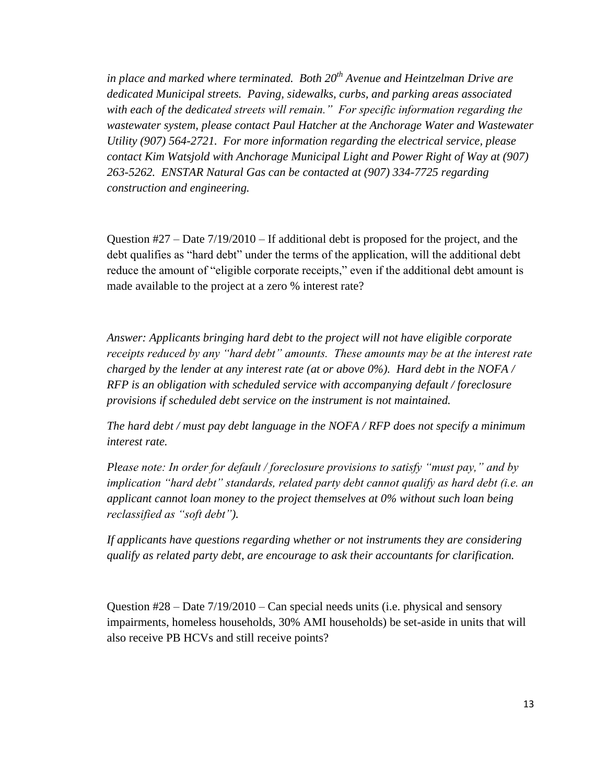*in place and marked where terminated. Both 20th Avenue and Heintzelman Drive are dedicated Municipal streets. Paving, sidewalks, curbs, and parking areas associated with each of the dedicated streets will remain." For specific information regarding the wastewater system, please contact Paul Hatcher at the Anchorage Water and Wastewater Utility (907) 564-2721. For more information regarding the electrical service, please contact Kim Watsjold with Anchorage Municipal Light and Power Right of Way at (907) 263-5262. ENSTAR Natural Gas can be contacted at (907) 334-7725 regarding construction and engineering.*

Question  $\#27$  – Date  $7/19/2010$  – If additional debt is proposed for the project, and the debt qualifies as "hard debt" under the terms of the application, will the additional debt reduce the amount of "eligible corporate receipts," even if the additional debt amount is made available to the project at a zero % interest rate?

*Answer: Applicants bringing hard debt to the project will not have eligible corporate receipts reduced by any "hard debt" amounts. These amounts may be at the interest rate charged by the lender at any interest rate (at or above 0%). Hard debt in the NOFA / RFP is an obligation with scheduled service with accompanying default / foreclosure provisions if scheduled debt service on the instrument is not maintained.* 

*The hard debt / must pay debt language in the NOFA / RFP does not specify a minimum interest rate.* 

*Please note: In order for default / foreclosure provisions to satisfy "must pay," and by implication "hard debt" standards, related party debt cannot qualify as hard debt (i.e. an applicant cannot loan money to the project themselves at 0% without such loan being reclassified as "soft debt").* 

*If applicants have questions regarding whether or not instruments they are considering qualify as related party debt, are encourage to ask their accountants for clarification.* 

Question #28 – Date 7/19/2010 – Can special needs units (i.e. physical and sensory impairments, homeless households, 30% AMI households) be set-aside in units that will also receive PB HCVs and still receive points?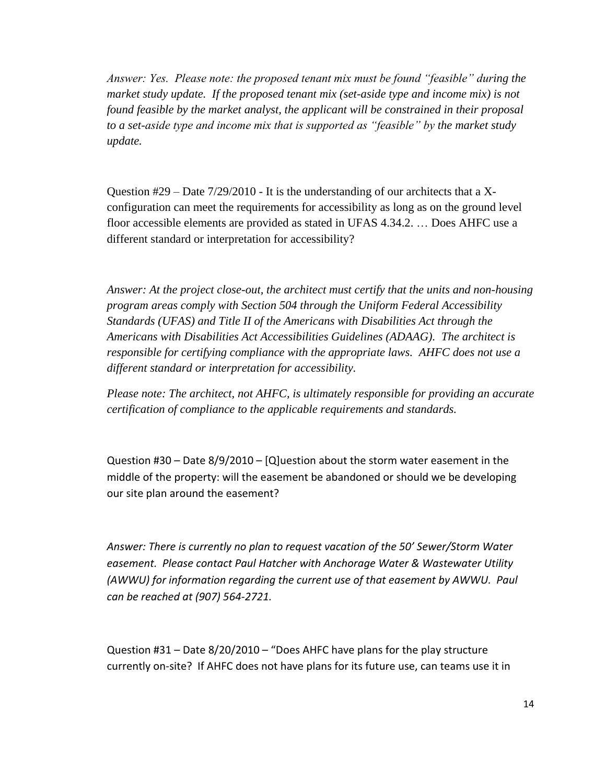*Answer: Yes. Please note: the proposed tenant mix must be found "feasible" during the market study update. If the proposed tenant mix (set-aside type and income mix) is not found feasible by the market analyst, the applicant will be constrained in their proposal to a set-aside type and income mix that is supported as "feasible" by the market study update.* 

Question  $\#29 -$ Date  $7/29/2010 -$  It is the understanding of our architects that a Xconfiguration can meet the requirements for accessibility as long as on the ground level floor accessible elements are provided as stated in UFAS 4.34.2. … Does AHFC use a different standard or interpretation for accessibility?

*Answer: At the project close-out, the architect must certify that the units and non-housing program areas comply with Section 504 through the Uniform Federal Accessibility Standards (UFAS) and Title II of the Americans with Disabilities Act through the Americans with Disabilities Act Accessibilities Guidelines (ADAAG). The architect is responsible for certifying compliance with the appropriate laws. AHFC does not use a different standard or interpretation for accessibility.* 

*Please note: The architect, not AHFC, is ultimately responsible for providing an accurate certification of compliance to the applicable requirements and standards.* 

Question #30 – Date 8/9/2010 – [Q]uestion about the storm water easement in the middle of the property: will the easement be abandoned or should we be developing our site plan around the easement?

*Answer: There is currently no plan to request vacation of the 50' Sewer/Storm Water easement. Please contact Paul Hatcher with Anchorage Water & Wastewater Utility (AWWU) for information regarding the current use of that easement by AWWU. Paul can be reached at (907) 564-2721.* 

Question #31 – Date 8/20/2010 – "Does AHFC have plans for the play structure currently on-site? If AHFC does not have plans for its future use, can teams use it in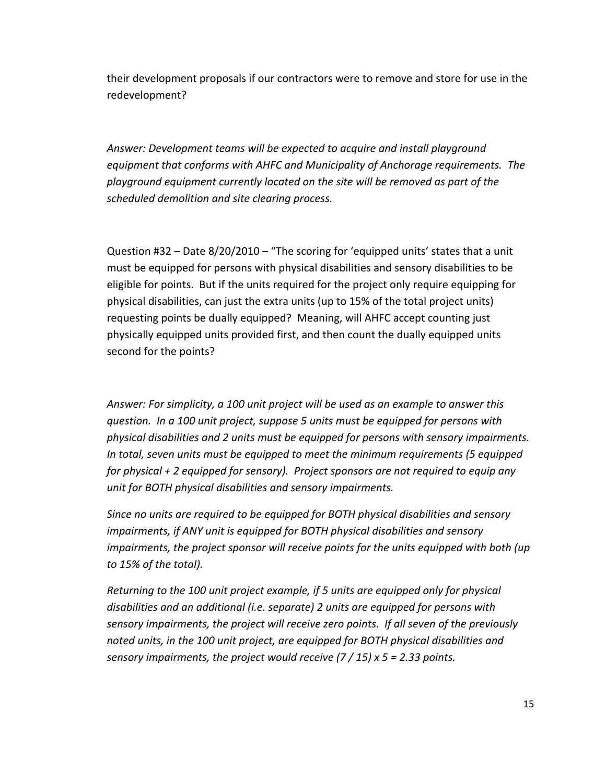their development proposals if our contractors were to remove and store for use in the redevelopment?

*Answer: Development teams will be expected to acquire and install playground equipment that conforms with AHFC and Municipality of Anchorage requirements. The playground equipment currently located on the site will be removed as part of the scheduled demolition and site clearing process.* 

Question #32 – Date 8/20/2010 – "The scoring for 'equipped units' states that a unit must be equipped for persons with physical disabilities and sensory disabilities to be eligible for points. But if the units required for the project only require equipping for physical disabilities, can just the extra units (up to 15% of the total project units) requesting points be dually equipped? Meaning, will AHFC accept counting just physically equipped units provided first, and then count the dually equipped units second for the points?

*Answer: For simplicity, a 100 unit project will be used as an example to answer this question. In a 100 unit project, suppose 5 units must be equipped for persons with physical disabilities and 2 units must be equipped for persons with sensory impairments. In total, seven units must be equipped to meet the minimum requirements (5 equipped for physical + 2 equipped for sensory). Project sponsors are not required to equip any unit for BOTH physical disabilities and sensory impairments.*

*Since no units are required to be equipped for BOTH physical disabilities and sensory impairments, if ANY unit is equipped for BOTH physical disabilities and sensory impairments, the project sponsor will receive points for the units equipped with both (up to 15% of the total).* 

*Returning to the 100 unit project example, if 5 units are equipped only for physical disabilities and an additional (i.e. separate) 2 units are equipped for persons with sensory impairments, the project will receive zero points. If all seven of the previously noted units, in the 100 unit project, are equipped for BOTH physical disabilities and sensory impairments, the project would receive (7 / 15) x 5 = 2.33 points.*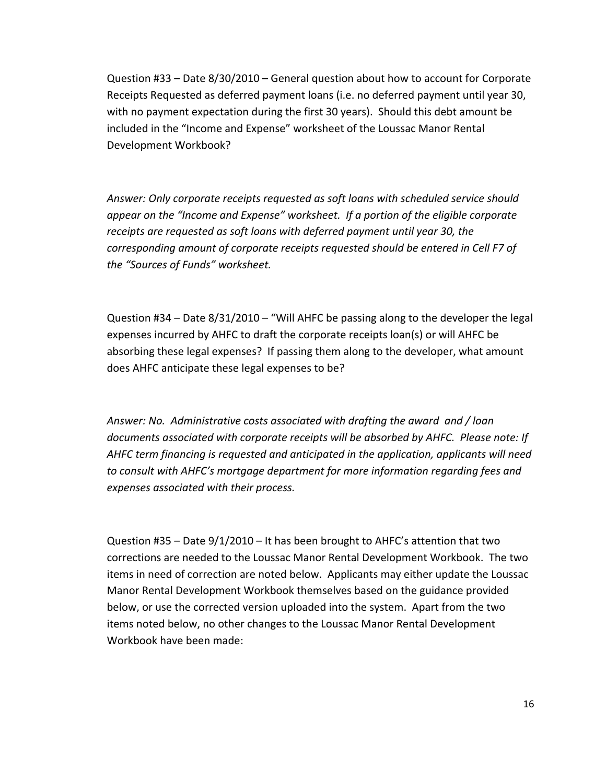Question #33 – Date 8/30/2010 – General question about how to account for Corporate Receipts Requested as deferred payment loans (i.e. no deferred payment until year 30, with no payment expectation during the first 30 years). Should this debt amount be included in the "Income and Expense" worksheet of the Loussac Manor Rental Development Workbook?

*Answer: Only corporate receipts requested as soft loans with scheduled service should appear on the "Income and Expense" worksheet. If a portion of the eligible corporate receipts are requested as soft loans with deferred payment until year 30, the corresponding amount of corporate receipts requested should be entered in Cell F7 of the "Sources of Funds" worksheet.* 

Question #34 – Date 8/31/2010 – "Will AHFC be passing along to the developer the legal expenses incurred by AHFC to draft the corporate receipts loan(s) or will AHFC be absorbing these legal expenses? If passing them along to the developer, what amount does AHFC anticipate these legal expenses to be?

*Answer: No. Administrative costs associated with drafting the award and / loan documents associated with corporate receipts will be absorbed by AHFC. Please note: If AHFC term financing is requested and anticipated in the application, applicants will need to consult with AHFC's mortgage department for more information regarding fees and expenses associated with their process.*

Question #35 – Date 9/1/2010 – It has been brought to AHFC's attention that two corrections are needed to the Loussac Manor Rental Development Workbook. The two items in need of correction are noted below. Applicants may either update the Loussac Manor Rental Development Workbook themselves based on the guidance provided below, or use the corrected version uploaded into the system. Apart from the two items noted below, no other changes to the Loussac Manor Rental Development Workbook have been made: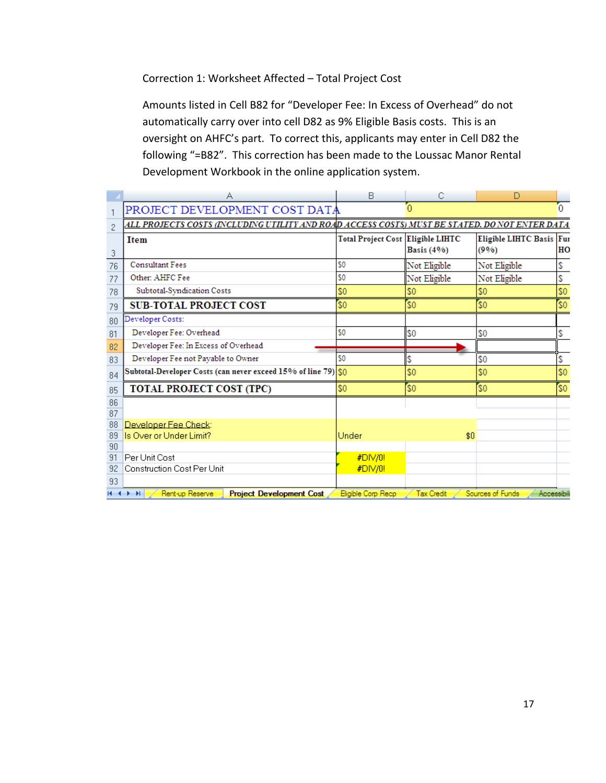## Correction 1: Worksheet Affected – Total Project Cost

Amounts listed in Cell B82 for "Developer Fee: In Excess of Overhead" do not automatically carry over into cell D82 as 9% Eligible Basis costs. This is an oversight on AHFC's part. To correct this, applicants may enter in Cell D82 the following "=B82". This correction has been made to the Loussac Manor Rental Development Workbook in the online application system.

|                | А                                                                                              | B                                 | С                 | D                               |     |
|----------------|------------------------------------------------------------------------------------------------|-----------------------------------|-------------------|---------------------------------|-----|
|                | PROJECT DEVELOPMENT COST DATA                                                                  |                                   |                   |                                 | 0   |
| $\overline{c}$ | ALL PROJECTS COSTS (INCLUDING UTILITY AND ROAD ACCESS COSTS) MUST BE STATED. DO NOT ENTER DATA |                                   |                   |                                 |     |
| 3              | <b>Item</b>                                                                                    | Total Project Cost Eligible LIHTC | <b>Basis</b> (4%) | Eligible LIHTC Basis Fu<br>(9%) | HC  |
| 76             | <b>Consultant Fees</b>                                                                         | \$0                               | Not Eligible      | Not Eligible                    | \$  |
| 77             | Other: AHFC Fee                                                                                | \$0                               | Not Eligible      | Not Eligible                    | \$  |
| 78             | Subtotal-Syndication Costs                                                                     | \$0                               | \$0               | \$0                             | \$0 |
| 79             | <b>SUB-TOTAL PROJECT COST</b>                                                                  | \$0                               | \$0               | \$0                             | \$0 |
| 80             | Developer Costs:                                                                               |                                   |                   |                                 |     |
| 81             | Developer Fee: Overhead                                                                        | \$0                               | \$0               | \$0                             | \$  |
| 82             | Developer Fee: In Excess of Overhead                                                           |                                   |                   |                                 |     |
| 83             | Developer Fee not Payable to Owner                                                             | \$0                               | \$                | \$0                             | \$  |
| 84             | Subtotal-Developer Costs (can never exceed 15% of line 79) \$0                                 |                                   | \$0               | \$0                             | \$0 |
| 85             | <b>TOTAL PROJECT COST (TPC)</b>                                                                | \$0                               | \$0\$             | \$0                             | \$0 |
| 86             |                                                                                                |                                   |                   |                                 |     |
| 87             |                                                                                                |                                   |                   |                                 |     |
| 88             | Developer Fee Check:                                                                           |                                   |                   |                                 |     |
| 89             | Is Over or Under Limit?                                                                        | Under                             | \$0               |                                 |     |
| 90<br>91       | Per Unit Cost                                                                                  | #DIV/0!                           |                   |                                 |     |
| 92             | Construction Cost Per Unit                                                                     | #DIV/0!                           |                   |                                 |     |
| 93             |                                                                                                |                                   |                   |                                 |     |
|                | Rent-up Reserve<br><b>Project Development Cost</b><br>$H + H$                                  | Eligible Corp Recp                | <b>Tax Credit</b> | Sources of Funds<br>Accessibil  |     |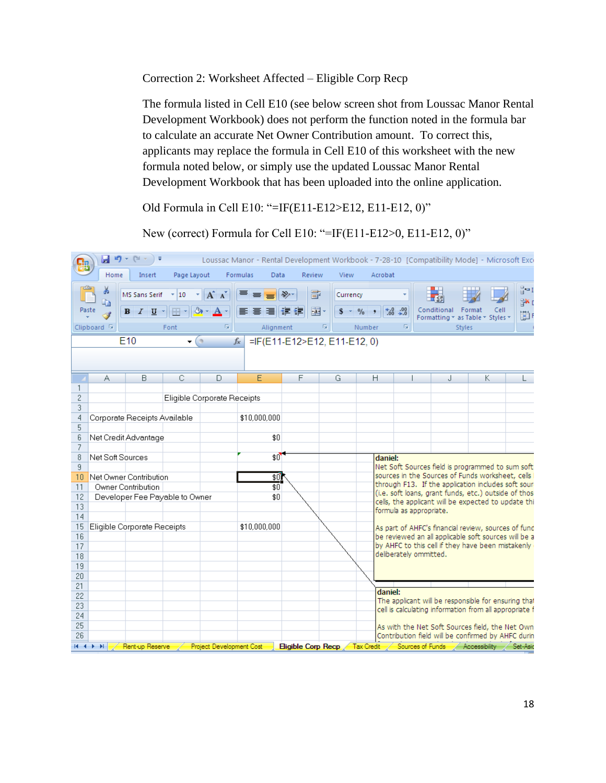Correction 2: Worksheet Affected – Eligible Corp Recp

The formula listed in Cell E10 (see below screen shot from Loussac Manor Rental Development Workbook) does not perform the function noted in the formula bar to calculate an accurate Net Owner Contribution amount. To correct this, applicants may replace the formula in Cell E10 of this worksheet with the new formula noted below, or simply use the updated Loussac Manor Rental Development Workbook that has been uploaded into the online application.

Old Formula in Cell E10: "=IF(E11-E12>E12, E11-E12, 0)"

New (correct) Formula for Cell E10: "=IF(E11-E12>0, E11-E12, 0)"